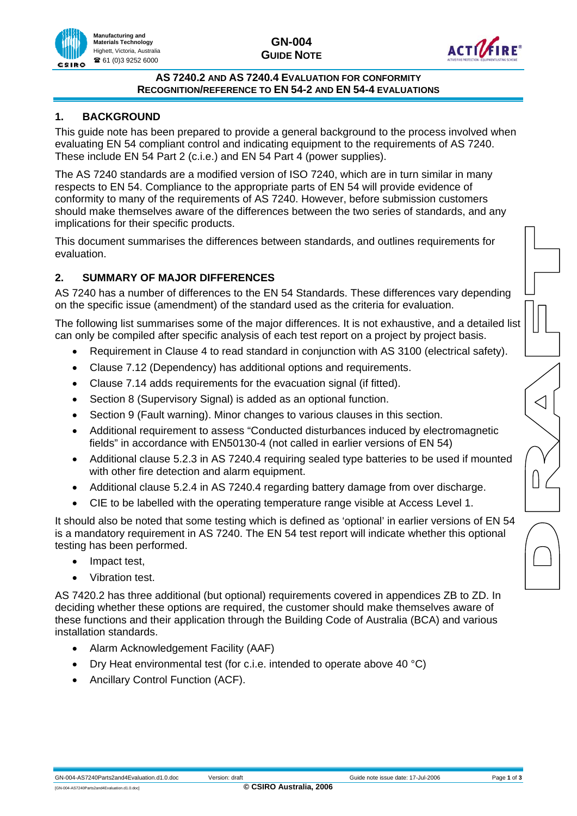

#### **AS 7240.2 AND AS 7240.4 EVALUATION FOR CONFORMITY RECOGNITION/REFERENCE TO EN 54-2 AND EN 54-4 EVALUATIONS**

# **1. BACKGROUND**

This guide note has been prepared to provide a general background to the process involved when evaluating EN 54 compliant control and indicating equipment to the requirements of AS 7240. These include EN 54 Part 2 (c.i.e.) and EN 54 Part 4 (power supplies).

The AS 7240 standards are a modified version of ISO 7240, which are in turn similar in many respects to EN 54. Compliance to the appropriate parts of EN 54 will provide evidence of conformity to many of the requirements of AS 7240. However, before submission customers should make themselves aware of the differences between the two series of standards, and any implications for their specific products.

This document summarises the differences between standards, and outlines requirements for evaluation.

# **2. SUMMARY OF MAJOR DIFFERENCES**

AS 7240 has a number of differences to the EN 54 Standards. These differences vary depending on the specific issue (amendment) of the standard used as the criteria for evaluation.

The following list summarises some of the major differences. It is not exhaustive, and a detailed list can only be compiled after specific analysis of each test report on a project by project basis.

- Requirement in Clause 4 to read standard in conjunction with AS 3100 (electrical safety).
- Clause 7.12 (Dependency) has additional options and requirements.
- Clause 7.14 adds requirements for the evacuation signal (if fitted).
- Section 8 (Supervisory Signal) is added as an optional function.
- Section 9 (Fault warning). Minor changes to various clauses in this section.
- Additional requirement to assess "Conducted disturbances induced by electromagnetic fields" in accordance with EN50130-4 (not called in earlier versions of EN 54)
- Additional clause 5.2.3 in AS 7240.4 requiring sealed type batteries to be used if mounted with other fire detection and alarm equipment.
- Additional clause 5.2.4 in AS 7240.4 regarding battery damage from over discharge.
- CIE to be labelled with the operating temperature range visible at Access Level 1.

It should also be noted that some testing which is defined as 'optional' in earlier versions of EN 54 is a mandatory requirement in AS 7240. The EN 54 test report will indicate whether this optional testing has been performed.

- Impact test,
- Vibration test.

AS 7420.2 has three additional (but optional) requirements covered in appendices ZB to ZD. In deciding whether these options are required, the customer should make themselves aware of these functions and their application through the Building Code of Australia (BCA) and various installation standards.

- Alarm Acknowledgement Facility (AAF)
- Dry Heat environmental test (for c.i.e. intended to operate above 40 °C)
- Ancillary Control Function (ACF).

 $\triangleleft$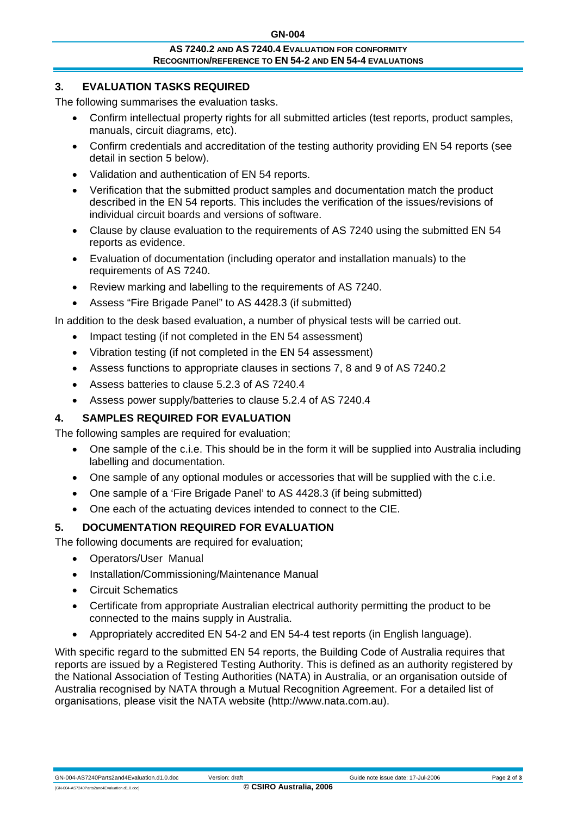#### **AS 7240.2 AND AS 7240.4 EVALUATION FOR CONFORMITY RECOGNITION/REFERENCE TO EN 54-2 AND EN 54-4 EVALUATIONS**

## **3. EVALUATION TASKS REQUIRED**

The following summarises the evaluation tasks.

- Confirm intellectual property rights for all submitted articles (test reports, product samples, manuals, circuit diagrams, etc).
- Confirm credentials and accreditation of the testing authority providing EN 54 reports (see detail in section 5 below).
- Validation and authentication of EN 54 reports.
- Verification that the submitted product samples and documentation match the product described in the EN 54 reports. This includes the verification of the issues/revisions of individual circuit boards and versions of software.
- Clause by clause evaluation to the requirements of AS 7240 using the submitted EN 54 reports as evidence.
- Evaluation of documentation (including operator and installation manuals) to the requirements of AS 7240.
- Review marking and labelling to the requirements of AS 7240.
- Assess "Fire Brigade Panel" to AS 4428.3 (if submitted)

In addition to the desk based evaluation, a number of physical tests will be carried out.

- Impact testing (if not completed in the EN 54 assessment)
- Vibration testing (if not completed in the EN 54 assessment)
- Assess functions to appropriate clauses in sections 7, 8 and 9 of AS 7240.2
- Assess batteries to clause 5.2.3 of AS 7240.4
- Assess power supply/batteries to clause 5.2.4 of AS 7240.4

## **4. SAMPLES REQUIRED FOR EVALUATION**

The following samples are required for evaluation;

- One sample of the c.i.e. This should be in the form it will be supplied into Australia including labelling and documentation.
- One sample of any optional modules or accessories that will be supplied with the c.i.e.
- One sample of a 'Fire Brigade Panel' to AS 4428.3 (if being submitted)
- One each of the actuating devices intended to connect to the CIE.

## **5. DOCUMENTATION REQUIRED FOR EVALUATION**

The following documents are required for evaluation;

- Operators/User Manual
- Installation/Commissioning/Maintenance Manual
- Circuit Schematics
- Certificate from appropriate Australian electrical authority permitting the product to be connected to the mains supply in Australia.
- Appropriately accredited EN 54-2 and EN 54-4 test reports (in English language).

With specific regard to the submitted EN 54 reports, the Building Code of Australia requires that reports are issued by a Registered Testing Authority. This is defined as an authority registered by the National Association of Testing Authorities (NATA) in Australia, or an organisation outside of Australia recognised by NATA through a Mutual Recognition Agreement. For a detailed list of organisations, please visit the NATA website (http://www.nata.com.au).